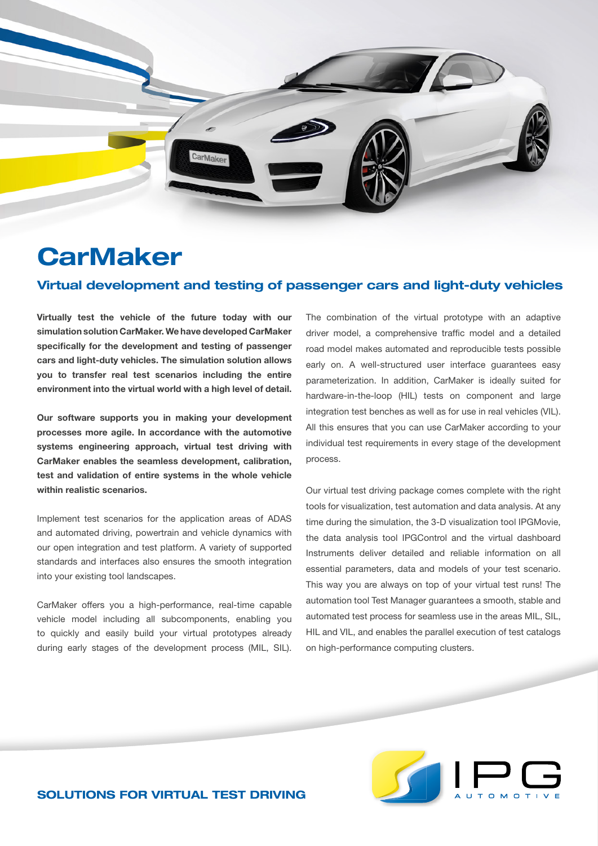

## **CarMaker**

## Virtual development and testing of passenger cars and light-duty vehicles

**Virtually test the vehicle of the future today with our simulation solution CarMaker. We have developed CarMaker specifically for the development and testing of passenger cars and light-duty vehicles. The simulation solution allows you to transfer real test scenarios including the entire environment into the virtual world with a high level of detail.**

**Our software supports you in making your development processes more agile. In accordance with the automotive systems engineering approach, virtual test driving with CarMaker enables the seamless development, calibration, test and validation of entire systems in the whole vehicle within realistic scenarios.** 

Implement test scenarios for the application areas of ADAS and automated driving, powertrain and vehicle dynamics with our open integration and test platform. A variety of supported standards and interfaces also ensures the smooth integration into your existing tool landscapes.

CarMaker offers you a high-performance, real-time capable vehicle model including all subcomponents, enabling you to quickly and easily build your virtual prototypes already during early stages of the development process (MIL, SIL).

The combination of the virtual prototype with an adaptive driver model, a comprehensive traffic model and a detailed road model makes automated and reproducible tests possible early on. A well-structured user interface guarantees easy parameterization. In addition, CarMaker is ideally suited for hardware-in-the-loop (HIL) tests on component and large integration test benches as well as for use in real vehicles (VIL). All this ensures that you can use CarMaker according to your individual test requirements in every stage of the development process.

Our virtual test driving package comes complete with the right tools for visualization, test automation and data analysis. At any time during the simulation, the 3-D visualization tool IPGMovie, the data analysis tool IPGControl and the virtual dashboard Instruments deliver detailed and reliable information on all essential parameters, data and models of your test scenario. This way you are always on top of your virtual test runs! The automation tool Test Manager guarantees a smooth, stable and automated test process for seamless use in the areas MIL, SIL, HIL and VIL, and enables the parallel execution of test catalogs on high-performance computing clusters.